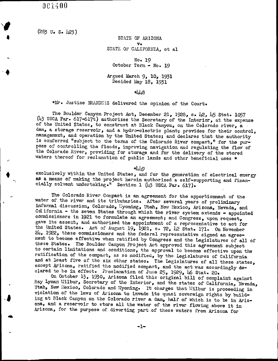I

 $(283 \text{ U. S. } 423)$ 

STATE OF ARIZONA v. STATE OF CALIFORNIA, et al

No. 19 October Term - No. 19

Argued March 9, 10, 1931 Decided May  $18$ , 1931

448

\*Mr. Justice BRANDEIS delivered the opinion of the Court.

The Boulder Canyon Project Act, December 21, 1928, c. 42, 45 Stat. 1057<br>(43 USCA Par. 617-617t) authorizes the Secretary of the Interior, at the expense<br>of the United States, to construct at Black Canyon, on the Colorado r dam, a storage reservoir, and a hydro-electric plant; provides for their control, management, and operation by the United States; and declares that the authority is conferred "subject to the terms of the Colorado River compact," for the purpose of controlling the floods, improving navigation and regulating the flow of the Colorado River, providing for storage and for the delivery of the stored waters thereof for reclamation of public lands and other beneficial uses \*

\*40

exclusively within the United States, and for the generation of electrical energy as a means of making the project herein authorized a self-supporting and financially solvent undertaking." Section 1 ( $\mu$ 3 USCA Par. 617).

The Colorado River Compact is an agreement for the apportionment of the water of the river and its tributaries. After several years of preliminary informal discussion, Colorado, Wyoming, Utah, New Mexico, Arizona, Nevada, and Cal ifornia - the seven States through which the river system extends - appointed commissioners in 1921 to formulate an agreement; and Congress, upon request, examples in the contraction of a representative to act for the linies of the appointment of a representative to act for the United States. Act of August 19, 1921, c. 72,  $\mu$ 2 Stat. 171. On November 24, 1922, these commissioners and the federal representative signed an agreement to become effective when ratified by Congress and the Legislatures of all of these States. The Boulder Canyon Project Act approved this agreement subject to certain limitations and conditions, the approval to become effective upon the ratification of the oompact, as so modified, by the Legislatures of California and at least five of the six other states. The Legislatures of all these states, except Arizona, ratified the modified oompact, and the act was accordingly de-

clared to be in effect. Proclamation of June 25, 1929, 46 Stat. 20. On October 13, 1930, Arizona filed this original bill of complaint against Ray Lyman Wilbur, Secretary of the Interior, and the states of California, Nevada, Utah, New Llexico, Colorado and Wyoming. It charges that Wilbur is proceeding in violation of the laws of Arizona to invade its quasi sovereign rights by building at Blaok Canyon on the Colorado river <sup>a</sup> dam, half of which is to be in Arizona, and a reservoir to store all the water of the river flowing above it in Arizona, for the purpose of diverting part of these waters from Arizona for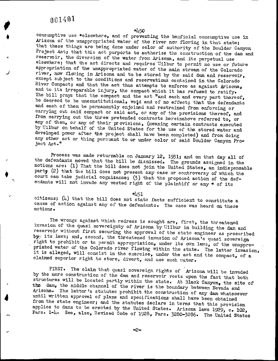J

I

4

450 consumptive use \* e1sewhere, and of preventing the benficial ccnsumptive use in Arizona of the unappropriated water of the river now flowing in that state;<br>that these things are being done under color of authority of the Boulder Canyon Project Act; that this act purports to authorize the construction of the dam and reservoir, the diversion of the water from Arizona, and its perpetual use elsewhere; that the act directs and requires Wilbur to permit no use or future appropriation of the unappropriated water of the main stream of the Colorado river, now flowing in Arizona and to be stored by the said dam and reservoir, except subject to the conditions and reservations contained in the Colorado River Compact; and that the act thus attempts to enforce as against Arizona, and to its irreparable injury, the compact which it has refused to ratify. The bill prays that the compact and the act " and each and every part thereof, be decreed to be unconstitutional, void and of no effect; that the defendants and each of them be permanently enjoined and restrained from enforcing or carrying out said compact or said act, or any of the provisions thereof, and from carrying out the three pretended contracts hereinabove referred to, or any of them, or any of their provisions, ( meaning certain contracts executed by Wilbur on behalf of the United States for the use of the stored water and developed power after the project shall have been completed) and from doing any other act or thing pursuant to or under color of said Boulder Canyon Project Act."

Process was made returnable on January 12, 1931; and on that day all of the defendants moved that the bill be dismissed. The grounds assigned in the motions are: (1) That the bill does not join the United States, an indispensable party (2) that the bill does not present any case or controversy of which the court can take judicial cognizance;  $(3)$  that the proposed action of the defendants will not invade any vested right of the plaintiff or any \* of its

451 citizens;  $(l_1)$  that the bill does not state facts sufficient to constitute a cause of action against any of the defendants. The case was heard on these motions .

The wrongs against which redress is sought are, first, the threatened invasion of the quasi sovereignty of Arizona by Wilbur in building the dam and reservoir without first securing the approval of the state engineer as pr by its laws; and, second, the threatened invasion of Arizona's quasi sovereign<br>right to prohibit or to permit appropriation, under its own laws, of the unappro-<br>priated water of the Colorado river flowing within the state. claimed superior right to store, divert, and use such water.

FIRST. The claim that quasi sovereign rights of Arizona will be invaded<br>by the mere construction of the dam and reservoir rests upon the fact that both<br>structures will be located partly within the state. At Black Canyon, t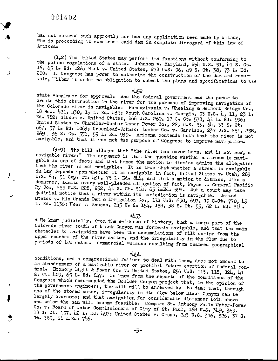I

J

J

f

ر

has not secured such approval; nor has any application been made by Wilbur, who is proceeding to construct said dam in complete disregard of this law of Arizona.

 $(1, 2)$  The United States may perform its functions without conforming to the police regulations of a state. Johnson v. Maryland, 254 U.S. 51, 41 S. Ct. 16, <sup>65</sup> L. Ed. 126; Hunt v. United States, <sup>278</sup> U. s. 96, <sup>49</sup> S. Ct. 38, 73 L. Ed. 200. If Congress has power to authorize the construction of the dam and reservoir, Wilbur is under no obligation to submit the plans and specifications to the

\*452

state \*engineer for approval. And the federal government has the power to create this obstruction in the river for the purpose of improving navigation if<br>the Colorado river is navigable. Pennsylvania v. Theeling & Belmont Bridge Co.,<br>18 How. 421, 430, 15 L. Ed. 435; South Carolina v. Georgia, 9 Ed. 782; Gibson v. United States, 166 U.S. 269, 17 S. Ct. 578, 41 L. Ed. 996;<br>United States v. Chandler-Dunbar Water Power Co., 229 U.S. 53, 64, 33 S. Ct.<br>667, 57 L. Ed. 1063; Greenleaf-Johnson Lumber Co. v. Garrison, 237 navigable. and that it was not the purpcse of Congress to improve navigation.

 $(3-9)$  The bill alleges that "the river has never been, and is not now, a navigable river." The argument is that the question whether <sup>a</sup> stream is navithat the river is not navigable. It is true that whether a stream is navigable<br>in law depends upon whether it is reviewble in the whether a stream is navigable gable is one of fact; and that hence the motion to dismiss admits the allegation<br>that the river is not navigable. It is true that whether a stream is navigable diat the river is not navigable. It is true that whether a stream is navigable<br>in law depends upon whether it is navigable in fact, United States v. Utah, 283<br>U.S. 64, 51 Sup. Ct. 438, 75 L. Ed. 844; and that a motion to U.S. 64, 51 Sup. Ct. 438, 75 L. Ed. 844; and that a motion to dismiss, like a demurrer, admits every well-pleaded allegation of fact, Payne v. Central Pacific Ry Co., 255 U.S. 228, 232,  $\frac{1}{11}$  S. Ct. 314, 65 L.Ed. 598. But a court may take judicial notice that a river within its jurisdiction is navigable. United States v. Rio Grande Dam & Irrigation Co., 174 U.S. 690, 697, 19 S.Ct. 770, 43<br>L. Ed. 1136; Wear v. Kansas, 245 U. S. 154, 158, 38 S. Ct. 55, 62 L. Ed. 214.

\*453

\* We know judicially, from the evidence of history, that a large part of the Colorado river south of Black Canyon was formerly navigable, and that the main obstacles to navigation have been the accumulations of silt coming from the upper reaches of the river system, and the irregularity in the flow due to periods of low water. Commercial \*disuse resulting from changed geographical

## $*454$

conditions, and a congressional failure to deal with them, does not amount to an abandonment of a navigable river or prohibit future exertion of federal con-<br>trol. Economy Light & Power Co. v. United States, 256 U.S. 113, 118, 124,  $\mu$ 1<br>S. Ct. 409, 65 L. Ed. 847. We know from the reports of the co largely overcome; and that navigation for considerable distances both above<br>and below the aam will become feasible. Compare St. Anthony Falls Water-Power<br>Co. v. Board of Water Commissioners of City of St. Paul, 168 U.S. 34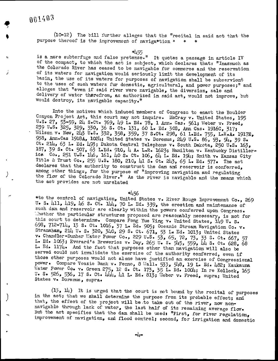j

10-12) The bill further alleges that the "recital in said act that the purpose thereof is the improvement of naviga\*tion \*

\*455

is <sup>a</sup> mere subterfuge and false pretense." It quotes <sup>a</sup> passage in article IV of the compact, to which the act is subject, which declares that: "Inasmuch as the Colorado River has ceased to be navigable for commerce and the reservation of its waters for navigation would seriously limit the development of its basin, the use of its waters for purposes of navigation shall be subservient to the uses of suoh waters for domestic, agricultural, and power purposes;" and alleges that "even if said river were navigable, the diversion, sale and delivery of water therefrom, as authorized in said act, would not improve, but would destroy, its navigable capacity."

Into the motives which induoed members of Congress to enact the Boulder Canyon Project Aot, this court may not inquire. MoCray v. United States, <sup>195</sup> U.S. 27, 53-59, 24 S.Ct. 769, 49 L. Ed. 78, 1 Ann. Cas. 561; Weber v. Freed, 239 U.S. 325, 329, 330, 36 S. ct. 131, 60 L. Ed. 308, Ann Cas. 1916C, 317 Wilson v. New, 243 U.S. 332, 358, 359, 37 s.ct. 298, 61 L.Ed. 755, L.R.A. 1917E. 938, Ann. Cas 1918A, 1024; United States v. Doremus, 249 U. s. 86, 93, 94, 39 S. Ct. 214, 63 L. Ed. 493; Dakota Central Telephone v. South Dakota, 250 U.S. 163, 187, <sup>39</sup> S. Ct. 507. <sup>63</sup> L. Ed. 910, <sup>4</sup> A. L. R. ' 1623; Hamilton v. Kentuoky Distilleries. Co., <sup>251</sup> U. S. l46, 161, <sup>40</sup> S. Ct. 106, <sup>64</sup> L. Ed. 194; Smith v. Kansas City Title & Trust Co., <sup>255</sup> U. S. 180, 210, <sup>41</sup> S. Ct. 243, <sup>65</sup> L. Ed. 577. The act declares that the authority to construct the dam and reservoir is conferred, among other things, for the purpose of "improving navigation and regulating the flow of the Colorado River." As the river is navigable and the means which the act provides are not unrelated

## 456

to the oontrol of navigation, United States v. River Rouge Improvement Co., <sup>269</sup> U. S. 411, 419, 46 S. Ct.  $1/4$ , 70 L. Ed. 339, the erection and maintenance of such dam and reservoir are clearly within the powers conferred upon Congress. The the particular structures proposed are reasonably necessary, is not for this court to determine. Compare Fong Yue Ting v. United States, 149 U. S. 698, 712- 714, <sup>13</sup> S. Ct. 1016, <sup>37</sup> L. Ed. 905; Oceanic Stream Navigation Co. v. Stranahan, <sup>214</sup> U. S. 320, 340, <sup>29</sup> S. Ct. 671, <sup>53</sup> L. Ed. 1013; United States v. Chandler-Dunbar Water Power Co., 229 U.S. 53, 65, 72, 73, 33 S. Ct. 667, 57<br>L. Ed. 1063; Everard's Breweries v. Day, 265 U. S. 545, 559. 44 S. Ct. 628, 68 L. Ed. 1174. And the faot that purposes other than navigation will also be served could not invalidate the exercise of the authority conferred, even if those other purposes would not alone have justified an exercise of Congressional power. Compare Veazie Bank v. Fenno, 8 Wall. 533, 548, 19 L. Ed. 482; Kaukauna<br>Water Power Co. v. Green 275, 12 S. Ct. 173, 35 L. Ed. 1004; In re Kollock, 165 U. S. 526, 536, 17 S. Ct. 144, 41 L. Ed. 813; Uleber v. Freed, supra; United States v. Doremus, supra.

 $(13, 14)$  It is urged that the court is not bound by the recital of purposes in the act; that we shall determine the purpose from its probable effect; and that, the effect of the project will be to take out of the river, now nonnavigable through lack of water, the last half of its remaining average flow.<br>But the act specifies that the dam shall be used: "First, for river regulation, improvement of navigation, and flood control; second, for irrigation and domestic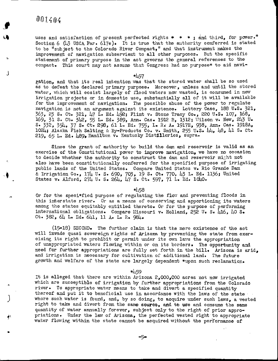$\mathbf{u}_\parallel$ 

J

f\

 $\epsilon$ 

uses and satisfaction of present perfected rights  $*$   $*$   $*$  and third, for power." Section 6 ( $\mu$ 3 USCA Par. 617e). It is true that the authority conferred is stated to be "subject to the Colorado River Compact," and that instrument makes the improvement of navigation subservient to all other purposes. But the specific statement of primary purpose in the act governs the general references to the compact. This court may not assume that Congress had no purpose\* to aid navi-

\*457

gation, and that its real intention was that the stored water shall be so used as to defeat the declared primary purpose. Moreover, unless and until the stored water, which will cosist largely of flood waters now wasted, is consumed in new irrigation projects or in domestic use, substantially all of it will be available for the improvement of navigation. The possible abuse of the power to regulate navigation is not an argument against its existence. Lottery Case, 188 U.S. 321, 363, <sup>23</sup> S. ct. 321, <sup>47</sup> L. Ed. 492; Flint v. Stone Tracy Co., <sup>220</sup> U. S. 107, 168, 169, <sup>31</sup> S. Ct. 342, <sup>55</sup> L. Ed. 389, Ann. Cas. <sup>1912</sup> B, 1312; Tlilson v. New, <sup>243</sup> U. S. 332, 354, <sup>37</sup> S. ct. 298, 61 L. Ed. 755, L. R. A. 1917E, 938, Ann. Cas. 1918A, 1024; Alaska Fish Salting & By-Products Co. v. Smith, 255 U.S.  $\mu$ ,  $\mu$ 8,  $\mu$ 1 S. Ct. 219, 65 L. Ed. 489, Hamilton v. Kentucky Distilleries, supra.

Since the grant of euthority to build the dam and reservoir is valid as an exercise of the Constitutional power to improve navigation, we have no occasion to decide whether the authority to construct the dam and reservoir might not also have been oonstitutionally conferred for the specified purpose of irrigating public lands of the United States. Compare United States v. Rio Grande Dam & Irrigation Co., 174 U. S. 690, 703, 19 S. Ct. 770, 43 L. Ed. 1136; United States v. Alford, 274 U. S. 264, 47 S. Ct. 597, 71 L. Ed. 1040.

\*⊥58

Or for the speci\*fied purpose of regulating the flow and preventing floods in this interstate river. Or as a means of conserving and apportioning its waters among the states equitably entitled thereto. Or for the purpose of performing international obligations. Compare Missouri v. Holland, 252 U. S. 416, 40 S. Ct.  $382.64$  L. Ed.  $641.11$  A. L. R.  $984.6$ 

15-18) SECOND. The further claim is that the mere existence of the act will invade quasi sovereign rights of Arizona by preventing the state from exercising its right to prohibit or permit under its own laws the appropriation of unappropriated waters flowing within or on its borders. The opportunity and need for further appropriations are fully set forth in the bill. Arizona is arid, and irrigation is necessary for cultivation of additional land. The future growth and welfare of the state are largely dependent \*upon such reclamation.

459

It is alleged that there are within Arizona 2, 000, <sup>000</sup> acres not now irrigated which are susceptible of irrigation by further appropriations from the Colorado river. To appropriate water means to take and divert <sup>a</sup> specified quantity thereof and put it to beneficial use in accordance with the laws of the state where such water is found, and, by so doing, to acquire under such laws, a vested right to take and divert from the same source, and to use and consume the same quantity of water annually forever, subject only to the right of prior appropriations. Under the law of Arizona, the perfected vested right to appropriate water flowing within the state cannot be acquired without the performance of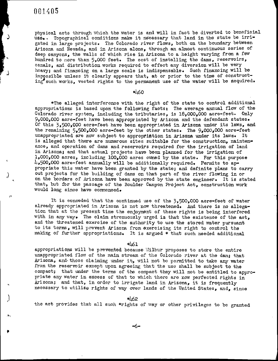J

(پ

J

physical acts through which the water is and will in fact be diverted to beneficial use.. Topographical conditions make it necessary that land in the state be irrigated in large projects. The Colorado river flows, both on the boundary between Arizona and Nevada, and in Arizona alone, through an almost continuous series of deep canyons, the walls of which rise in Arizona to <sup>a</sup> height varying from <sup>a</sup> few hundred to more than 5,000 feet. The cost of installing the dams, reservoirs, canals. and distribution works required to effect any diversion will be very beavy; and distribution works required to errect any diversion will be very beavy; and financing on a large scale is indispensable. Such financing will be impossible unless it clearly appears that, at or prior to the time of constructing such works, vested rights to the permanent use of the water will be acquired.

#### $*160$

The alleged interference with the right of the state to oontrol additional appropriations is based upon the following faots: The average annual flow of the Colorado river system, including the tributaries, is 18,000,000 acre-feet. Only 9, 000. <sup>000</sup> acre- feet have been appropriated by Arizona and the defendant states. Of this 3. 500, <sup>000</sup> aore- feet have been appropriated in Arizona under its laws, and the remaining  $5.500,000$  acre-feet by the other states. The  $9.000,000$  acre-feet unappropriated are now subject to appropriation in Arizona under its laws. It is alleged that there are numerous sites suitable for the construction, maintenance, and operation of dams and reservoirs required for the irrigation of land in Arizona; and that actual projeots have been planned for the irrigation of 1,000,000 acres, including 100,000 acres owned by the state. For this purpose  $4.500,000$  acre-feet annually will be additionally required. Permits to appropriate this water have been granted by the state; and definite plans to carry out projects for the building of dams on that part of the river flowing in or on the borders of Arizona have been approved by the state engineer. It is stated that, but for the passage of the Boulder Canyon Project Act, construction work would long since have connnenced.

It is conceded that the continued use of the 3, 500. <sup>000</sup> aore- feet of water already appropriated in Arizona is not now threatened. And there is no allegation that at the present time the enjoyment of these rights is being interfered with in any way. The claim strenuously urged is that the existence of the  $act<sub>s</sub>$ and the threatened exercise of the authority to use the stored water pursuant to its terms, will prevent Arizona from exercising its right to control the making of further appropriations. It is argued \* that such needed additional

## \*461

appropriations will be prevented because Tlilbur proposes to store the entire unappropriated flow of the main stream of the Colorado river at the dam; that Arizona, and those claiming under it, will not be permitted to take any water from the reservoir except upon agreeing that the use shall be subject to the compact; that under the terms of the compact they will not be entitled to appropriate any water in excess of that to which there are now perfected rights in Arizona; and that, in order to irrigate land in Arizona, it is frequently necessary to utilize rights of way over lands of the United States, and. since

#### 462

the act provides that all such \*rights of way or other privileges to be granted

6-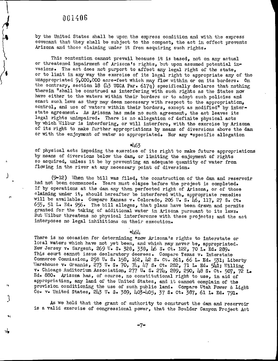$\mathcal{A}$ 

I"

I

J

l~

I

by the United States shall be upon the express oondition and with the express covenant that they shall be subject to the compact, the act in effect prevents Arizona and those claiming under it from acquiring such rights.

This contention cannot prevail because it is based, not on any actual or threatened impairment of Arizona's rights, but upon assumed potential invasions. The act does not purport to affect any legal right of the state, or to limit in any way the exercise of its legal right to appropriate any of the unappropriated  $9,000,000$  acre-feet which may flow within or on its borders. On the contrary, section 18 (43 USCA Par. 617q) specifically declares that nothing therein "shall be construed as interfering with such rights as the States now have either to the waters within their borders or to adopt such policies and enact such laws as they may deem necessary with respect to the appropriation, control, and use of waters within their borders, except as modified" by interstate agreement. As Arizona has made no such agreement, the act leaves its legal rights unimpaired. There is no allegation of definite physioal acts by which Wilbur is interfering, or will interfere, with the exercise by Arizona of its right to make further appropriations by means of diversions above the dam or with the enjoyment of water so appropriated. Nor any \*specific allegation

463

of physical acts impeding the exercise of its right to make future appropriations by means of diversions below the dam, or limiting the enjoyment of rights so acquired, unless it be by preventing an adequate quantity of water from flowing in the river at any necessary point of diversion.

9-12) When the bill was filed, the construction of the dam and reservoir had not been commenced. Years must elapse before the project is completed. If by operations at the dam any then perfected right of Arizona, or of those claiming under it, should hereafter be interfered with, appropriate remedies will be available. Compare Kansas  $v.$  Colorado, 206 U. S. 46, 117, 27 S. Ct. 655, 51 L. Ed. 956. The bill alleges, that plans have been drawn and permits  $655$ , 51 L. Ed. 956. The bill alleges, that plans have been drawn and permits granted for the taking of additional water in Arizona pursuant to its laws. But Wilbur threatens no physical interference with these projects; and the act interposes no legal inhibitions on their execution.

 $*464$ 

There is no occasion for determining \*now Arizona's rights to interstate or lecal waters which have not yet been, and which may never be, appropriated. New Jersey v. Sargent, 269 U. S. 328, 338, 46 S. Ct. 122, 70 L. Ed. 289. This court cannot issue declaratory decrees. Compare Texas v. Interstate Commerce Commission, 258 U. S. 158, 162, 42 S. Ct. 261, 66 L. Ed. 531; Liberty Venetic v. Grannis, 273 U. S. 70, 74, 47 S. Ct. 282, 71 L. Ed. 541; Willing v. Chicago Auditorium Association, 277 U. S. 274, 289, 290, 48 S. Ct. 507, 72 L. Ed. 880. Arizona has, of course, no constitutional right to use, in aid of appropriation, any land of the United States, and it cannot complain of the provision conditioning the use of such public land. Compare Utah Power & Light Co. v. United States, 243 U. S. 389, 403-405, 37 S. Ct. 387, 61 L. Ed. 791.

As we hold that the grant of authority to construct the dam and reservoir is <sup>a</sup> valid exercise of oongressional pawer, that the Boulder Canyon Projeot Act